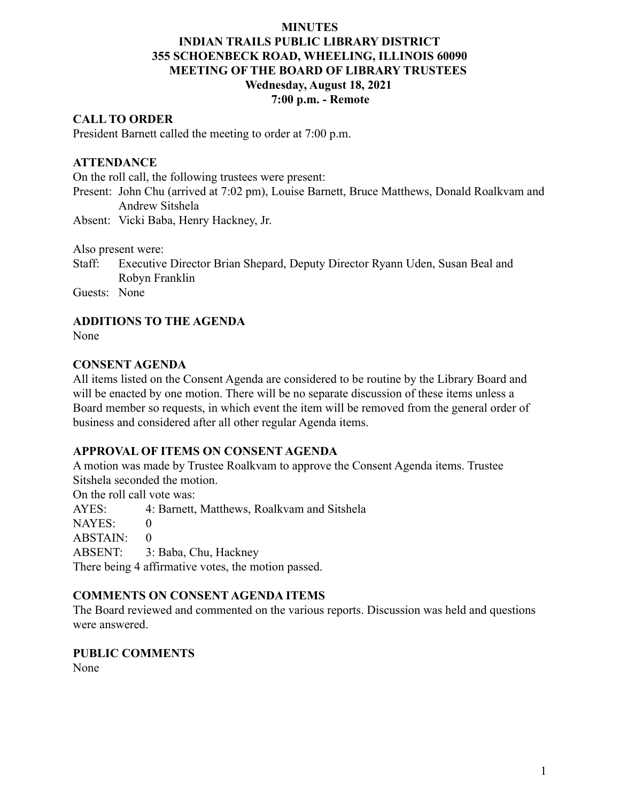# **INDIAN TRAILS PUBLIC LIBRARY DISTRICT 355 SCHOENBECK ROAD, WHEELING, ILLINOIS 60090 MEETING OF THE BOARD OF LIBRARY TRUSTEES Wednesday, August 18, 2021 7:00 p.m. - Remote**

### **CALL TO ORDER**

President Barnett called the meeting to order at 7:00 p.m.

### **ATTENDANCE**

On the roll call, the following trustees were present:

- Present: John Chu (arrived at 7:02 pm), Louise Barnett, Bruce Matthews, Donald Roalkvam and Andrew Sitshela
- Absent: Vicki Baba, Henry Hackney, Jr.

Also present were:

Staff: Executive Director Brian Shepard, Deputy Director Ryann Uden, Susan Beal and Robyn Franklin

Guests: None

### **ADDITIONS TO THE AGENDA**

None

### **CONSENT AGENDA**

All items listed on the Consent Agenda are considered to be routine by the Library Board and will be enacted by one motion. There will be no separate discussion of these items unless a Board member so requests, in which event the item will be removed from the general order of business and considered after all other regular Agenda items.

### **APPROVAL OF ITEMS ON CONSENT AGENDA**

A motion was made by Trustee Roalkvam to approve the Consent Agenda items. Trustee Sitshela seconded the motion.

On the roll call vote was:

AYES: 4: Barnett, Matthews, Roalkvam and Sitshela

NAYES: 0

 $ABSTAIN: 0$ 

ABSENT: 3: Baba, Chu, Hackney

There being 4 affirmative votes, the motion passed.

#### **COMMENTS ON CONSENT AGENDA ITEMS**

The Board reviewed and commented on the various reports. Discussion was held and questions were answered.

#### **PUBLIC COMMENTS**

None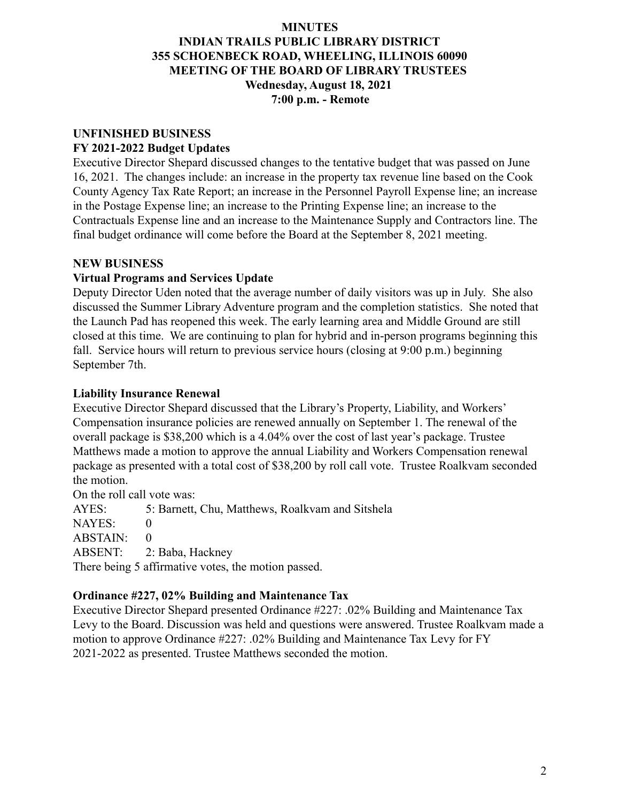# **INDIAN TRAILS PUBLIC LIBRARY DISTRICT 355 SCHOENBECK ROAD, WHEELING, ILLINOIS 60090 MEETING OF THE BOARD OF LIBRARY TRUSTEES Wednesday, August 18, 2021 7:00 p.m. - Remote**

#### **UNFINISHED BUSINESS FY 2021-2022 Budget Updates**

Executive Director Shepard discussed changes to the tentative budget that was passed on June 16, 2021. The changes include: an increase in the property tax revenue line based on the Cook County Agency Tax Rate Report; an increase in the Personnel Payroll Expense line; an increase in the Postage Expense line; an increase to the Printing Expense line; an increase to the Contractuals Expense line and an increase to the Maintenance Supply and Contractors line. The final budget ordinance will come before the Board at the September 8, 2021 meeting.

# **NEW BUSINESS**

# **Virtual Programs and Services Update**

Deputy Director Uden noted that the average number of daily visitors was up in July. She also discussed the Summer Library Adventure program and the completion statistics. She noted that the Launch Pad has reopened this week. The early learning area and Middle Ground are still closed at this time. We are continuing to plan for hybrid and in-person programs beginning this fall. Service hours will return to previous service hours (closing at 9:00 p.m.) beginning September 7th.

# **Liability Insurance Renewal**

Executive Director Shepard discussed that the Library's Property, Liability, and Workers' Compensation insurance policies are renewed annually on September 1. The renewal of the overall package is \$38,200 which is a 4.04% over the cost of last year's package. Trustee Matthews made a motion to approve the annual Liability and Workers Compensation renewal package as presented with a total cost of \$38,200 by roll call vote. Trustee Roalkvam seconded the motion.

On the roll call vote was:

AYES: 5: Barnett, Chu, Matthews, Roalkvam and Sitshela

NAYES: 0

 $ABSTAIN: 0$ 

ABSENT: 2: Baba, Hackney

There being 5 affirmative votes, the motion passed.

# **Ordinance #227, 02% Building and Maintenance Tax**

Executive Director Shepard presented Ordinance #227: .02% Building and Maintenance Tax Levy to the Board. Discussion was held and questions were answered. Trustee Roalkvam made a motion to approve Ordinance #227: .02% Building and Maintenance Tax Levy for FY 2021-2022 as presented. Trustee Matthews seconded the motion.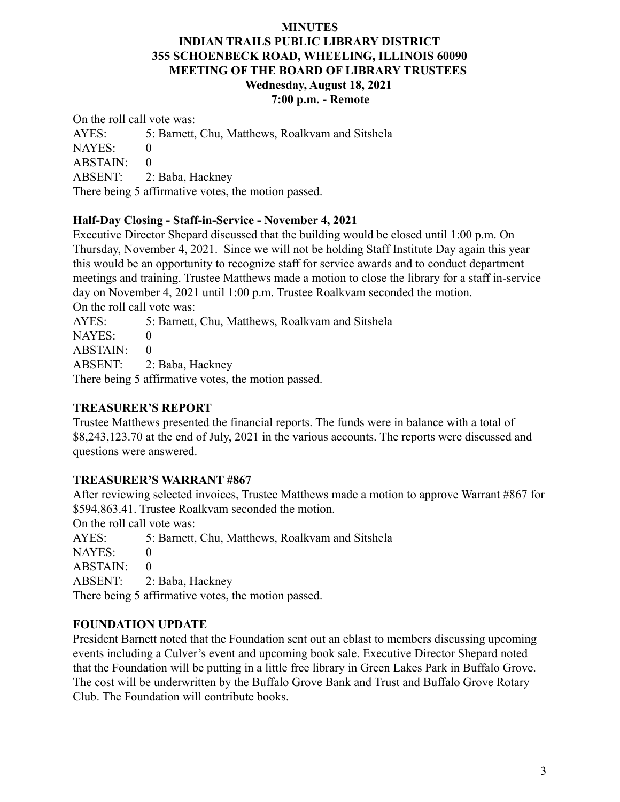## **INDIAN TRAILS PUBLIC LIBRARY DISTRICT 355 SCHOENBECK ROAD, WHEELING, ILLINOIS 60090 MEETING OF THE BOARD OF LIBRARY TRUSTEES Wednesday, August 18, 2021 7:00 p.m. - Remote**

On the roll call vote was:

AYES: 5: Barnett, Chu, Matthews, Roalkvam and Sitshela NAYES: 0 ABSTAIN: 0 ABSENT: 2: Baba, Hackney There being 5 affirmative votes, the motion passed.

## **Half-Day Closing - Staff-in-Service - November 4, 2021**

Executive Director Shepard discussed that the building would be closed until 1:00 p.m. On Thursday, November 4, 2021. Since we will not be holding Staff Institute Day again this year this would be an opportunity to recognize staff for service awards and to conduct department meetings and training. Trustee Matthews made a motion to close the library for a staff in-service day on November 4, 2021 until 1:00 p.m. Trustee Roalkvam seconded the motion. On the roll call vote was:

AYES: 5: Barnett, Chu, Matthews, Roalkvam and Sitshela

NAYES: 0

 $ABSTAIN: 0$ 

ABSENT: 2: Baba, Hackney

There being 5 affirmative votes, the motion passed.

## **TREASURER'S REPORT**

Trustee Matthews presented the financial reports. The funds were in balance with a total of \$8,243,123.70 at the end of July, 2021 in the various accounts. The reports were discussed and questions were answered.

## **TREASURER'S WARRANT #867**

After reviewing selected invoices, Trustee Matthews made a motion to approve Warrant #867 for \$594,863.41. Trustee Roalkvam seconded the motion.

On the roll call vote was:

AYES: 5: Barnett, Chu, Matthews, Roalkvam and Sitshela

NAYES: 0

 $ABSTAIN: 0$ 

ABSENT: 2: Baba, Hackney

There being 5 affirmative votes, the motion passed.

## **FOUNDATION UPDATE**

President Barnett noted that the Foundation sent out an eblast to members discussing upcoming events including a Culver's event and upcoming book sale. Executive Director Shepard noted that the Foundation will be putting in a little free library in Green Lakes Park in Buffalo Grove. The cost will be underwritten by the Buffalo Grove Bank and Trust and Buffalo Grove Rotary Club. The Foundation will contribute books.